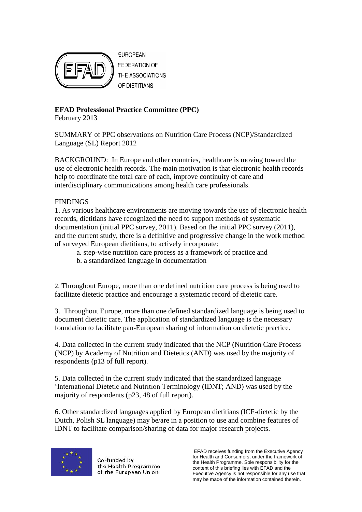

**EUROPEAN FEDERATION OF** THE ASSOCIATIONS OF DIETITIANS

## **EFAD Professional Practice Committee (PPC)**

February 2013

SUMMARY of PPC observations on Nutrition Care Process (NCP)/Standardized Language (SL) Report 2012

BACKGROUND: In Europe and other countries, healthcare is moving toward the use of electronic health records. The main motivation is that electronic health records help to coordinate the total care of each, improve continuity of care and interdisciplinary communications among health care professionals.

## **FINDINGS**

1. As various healthcare environments are moving towards the use of electronic health records, dietitians have recognized the need to support methods of systematic documentation (initial PPC survey, 2011). Based on the initial PPC survey (2011), and the current study, there is a definitive and progressive change in the work method of surveyed European dietitians, to actively incorporate:

- a. step-wise nutrition care process as a framework of practice and
- b. a standardized language in documentation

2. Throughout Europe, more than one defined nutrition care process is being used to facilitate dietetic practice and encourage a systematic record of dietetic care.

3. Throughout Europe, more than one defined standardized language is being used to document dietetic care. The application of standardized language is the necessary foundation to facilitate pan-European sharing of information on dietetic practice.

4. Data collected in the current study indicated that the NCP (Nutrition Care Process (NCP) by Academy of Nutrition and Dietetics (AND) was used by the majority of respondents (p13 of full report).

5. Data collected in the current study indicated that the standardized language 'International Dietetic and Nutrition Terminology (IDNT; AND) was used by the majority of respondents (p23, 48 of full report).

6. Other standardized languages applied by European dietitians (ICF-dietetic by the Dutch, Polish SL language) may be/are in a position to use and combine features of IDNT to facilitate comparison/sharing of data for major research projects.



Co-funded by the Health Programme of the European Union

EFAD receives funding from the Executive Agency for Health and Consumers, under the framework of the Health Programme. Sole responsibility for the content of this briefing lies with EFAD and the Executive Agency is not responsible for any use that may be made of the information contained therein.